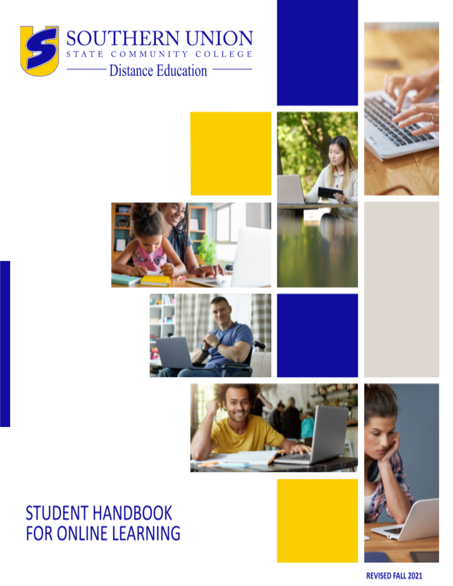



# **STUDENT HANDBOOK FOR ONLINE LEARNING**

**REVISED FALL 2021**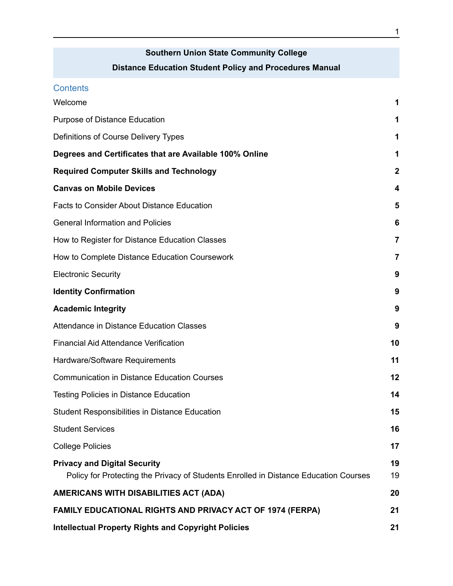## **Southern Union State Community College Distance Education Student Policy and Procedures Manual**

| <b>Contents</b>                                                                                                             |                  |
|-----------------------------------------------------------------------------------------------------------------------------|------------------|
| Welcome                                                                                                                     | 1                |
| Purpose of Distance Education                                                                                               | 1                |
| Definitions of Course Delivery Types                                                                                        | 1                |
| Degrees and Certificates that are Available 100% Online                                                                     | 1                |
| <b>Required Computer Skills and Technology</b>                                                                              | $\boldsymbol{2}$ |
| <b>Canvas on Mobile Devices</b>                                                                                             | 4                |
| <b>Facts to Consider About Distance Education</b>                                                                           | 5                |
| <b>General Information and Policies</b>                                                                                     | 6                |
| How to Register for Distance Education Classes                                                                              | 7                |
| How to Complete Distance Education Coursework                                                                               | 7                |
| <b>Electronic Security</b>                                                                                                  | 9                |
| <b>Identity Confirmation</b>                                                                                                | 9                |
| <b>Academic Integrity</b>                                                                                                   | 9                |
| Attendance in Distance Education Classes                                                                                    | 9                |
| <b>Financial Aid Attendance Verification</b>                                                                                | 10               |
| Hardware/Software Requirements                                                                                              | 11               |
| <b>Communication in Distance Education Courses</b>                                                                          | 12               |
| <b>Testing Policies in Distance Education</b>                                                                               | 14               |
| <b>Student Responsibilities in Distance Education</b>                                                                       | 15               |
| <b>Student Services</b>                                                                                                     | 16               |
| <b>College Policies</b>                                                                                                     | 17               |
| <b>Privacy and Digital Security</b><br>Policy for Protecting the Privacy of Students Enrolled in Distance Education Courses | 19<br>19         |
| AMERICANS WITH DISABILITIES ACT (ADA)                                                                                       | 20               |
| <b>FAMILY EDUCATIONAL RIGHTS AND PRIVACY ACT OF 1974 (FERPA)</b>                                                            | 21               |
| <b>Intellectual Property Rights and Copyright Policies</b>                                                                  | 21               |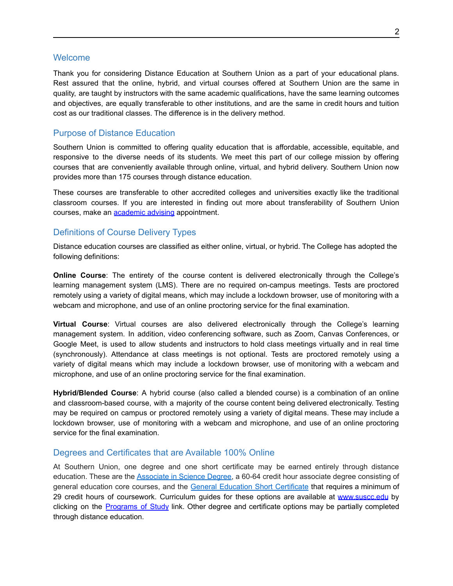#### <span id="page-2-0"></span>**Welcome**

Thank you for considering Distance Education at Southern Union as a part of your educational plans. Rest assured that the online, hybrid, and virtual courses offered at Southern Union are the same in quality, are taught by instructors with the same academic qualifications, have the same learning outcomes and objectives, are equally transferable to other institutions, and are the same in credit hours and tuition cost as our traditional classes. The difference is in the delivery method.

### <span id="page-2-1"></span>Purpose of Distance Education

Southern Union is committed to offering quality education that is affordable, accessible, equitable, and responsive to the diverse needs of its students. We meet this part of our college mission by offering courses that are conveniently available through online, virtual, and hybrid delivery. Southern Union now provides more than 175 courses through distance education.

These courses are transferable to other accredited colleges and universities exactly like the traditional classroom courses. If you are interested in finding out more about transferability of Southern Union courses, make an [academic](https://www.suscc.edu/current-students/academic-advising.cms) advising appointment.

### <span id="page-2-2"></span>Definitions of Course Delivery Types

Distance education courses are classified as either online, virtual, or hybrid. The College has adopted the following definitions:

**Online Course**: The entirety of the course content is delivered electronically through the College's learning management system (LMS). There are no required on-campus meetings. Tests are proctored remotely using a variety of digital means, which may include a lockdown browser, use of monitoring with a webcam and microphone, and use of an online proctoring service for the final examination.

**Virtual Course**: Virtual courses are also delivered electronically through the College's learning management system. In addition, video conferencing software, such as Zoom, Canvas Conferences, or Google Meet, is used to allow students and instructors to hold class meetings virtually and in real time (synchronously). Attendance at class meetings is not optional. Tests are proctored remotely using a variety of digital means which may include a lockdown browser, use of monitoring with a webcam and microphone, and use of an online proctoring service for the final examination.

**Hybrid/Blended Course**: A hybrid course (also called a blended course) is a combination of an online and classroom-based course, with a majority of the course content being delivered electronically. Testing may be required on campus or proctored remotely using a variety of digital means. These may include a lockdown browser, use of monitoring with a webcam and microphone, and use of an online proctoring service for the final examination.

#### <span id="page-2-3"></span>Degrees and Certificates that are Available 100% Online

At Southern Union, one degree and one short certificate may be earned entirely through distance education. These are the [Associate](http://www.suscc.edu/programs/asd_online.cms) in Science Degree, a 60-64 credit hour associate degree consisting of general education core courses, and the General Education Short [Certificate](http://www.suscc.edu/programs/general_edu_certificate.cms) that requires a minimum of 29 credit hours of coursework. Curriculum guides for these options are available at [www.suscc.edu](http://www.suscc.edu) by clicking on the **[Programs](https://www.suscc.edu/programs/business-management.cms) of Study** link. Other degree and certificate options may be partially completed through distance education.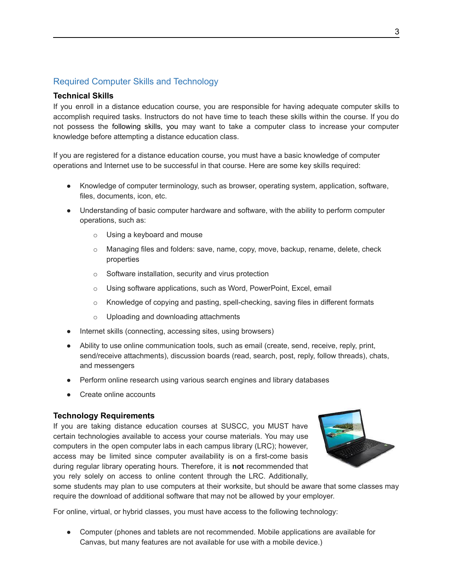### Required Computer Skills and Technology

#### **Technical Skills**

If you enroll in a distance education course, you are responsible for having adequate computer skills to accomplish required tasks. Instructors do not have time to teach these skills within the course. If you do not possess the following skills, you may want to take a computer class to increase your computer knowledge before attempting a distance education class.

If you are registered for a distance education course, you must have a basic knowledge of computer operations and Internet use to be successful in that course. Here are some key skills required:

- Knowledge of computer terminology, such as browser, operating system, application, software, files, documents, icon, etc.
- Understanding of basic computer hardware and software, with the ability to perform computer operations, such as:
	- o Using a keyboard and mouse
	- $\circ$  Managing files and folders: save, name, copy, move, backup, rename, delete, check properties
	- o Software installation, security and virus protection
	- o Using software applications, such as Word, PowerPoint, Excel, email
	- $\circ$  Knowledge of copying and pasting, spell-checking, saving files in different formats
	- o Uploading and downloading attachments
- Internet skills (connecting, accessing sites, using browsers)
- Ability to use online communication tools, such as email (create, send, receive, reply, print, send/receive attachments), discussion boards (read, search, post, reply, follow threads), chats, and messengers
- Perform online research using various search engines and library databases
- **Create online accounts**

### **Technology Requirements**

If you are taking distance education courses at SUSCC, you MUST have certain technologies available to access your course materials. You may use computers in the open computer labs in each campus library (LRC); however, access may be limited since computer availability is on a first-come basis during regular library operating hours. Therefore, it is **not** recommended that you rely solely on access to online content through the LRC. Additionally,



some students may plan to use computers at their worksite, but should be aware that some classes may require the download of additional software that may not be allowed by your employer.

For online, virtual, or hybrid classes, you must have access to the following technology:

● Computer (phones and tablets are not recommended. Mobile applications are available for Canvas, but many features are not available for use with a mobile device.)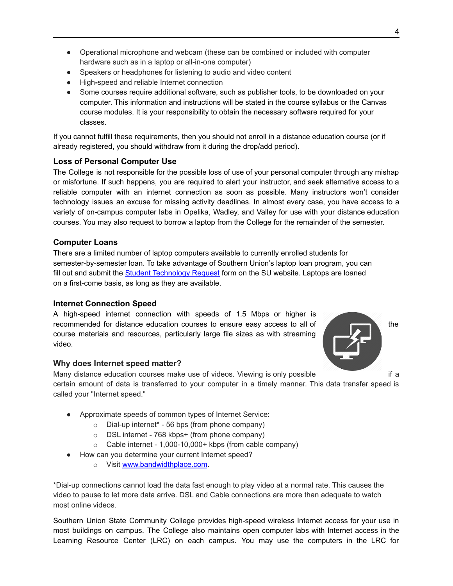- Operational microphone and webcam (these can be combined or included with computer hardware such as in a laptop or all-in-one computer)
- Speakers or headphones for listening to audio and video content
- High**-**speed and reliable Internet connection
- Some courses require additional software, such as publisher tools, to be downloaded on your computer. This information and instructions will be stated in the course syllabus or the Canvas course modules. It is your responsibility to obtain the necessary software required for your classes.

If you cannot fulfill these requirements, then you should not enroll in a distance education course (or if already registered, you should withdraw from it during the drop/add period).

### **Loss of Personal Computer Use**

The College is not responsible for the possible loss of use of your personal computer through any mishap or misfortune. If such happens, you are required to alert your instructor, and seek alternative access to a reliable computer with an internet connection as soon as possible. Many instructors won't consider technology issues an excuse for missing activity deadlines. In almost every case, you have access to a variety of on-campus computer labs in Opelika, Wadley, and Valley for use with your distance education courses. You may also request to borrow a laptop from the College for the remainder of the semester.

### **Computer Loans**

There are a limited number of laptop computers available to currently enrolled students for semester-by-semester loan. To take advantage of Southern Union's laptop loan program, you can fill out and submit the Student [Technology](https://www.suscc.edu/techrequest.cms) Request form on the SU website. Laptops are loaned on a first-come basis, as long as they are available.

### **Internet Connection Speed**

A high-speed internet connection with speeds of 1.5 Mbps or higher is recommended for distance education courses to ensure easy access to all of the the course materials and resources, particularly large file sizes as with streaming video.



### **Why does Internet speed matter?**

Many distance education courses make use of videos. Viewing is only possible if a certain amount of data is transferred to your computer in a timely manner. This data transfer speed is called your "Internet speed."

- Approximate speeds of common types of Internet Service:
	- $\circ$  Dial-up internet<sup>\*</sup> 56 bps (from phone company)
	- o DSL internet 768 kbps+ (from phone company)
	- o Cable internet 1,000-10,000+ kbps (from cable company)
- How can you determine your current Internet speed?
	- o Visit [www.bandwidthplace.com](http://www.bandwidthplace.com).

\*Dial-up connections cannot load the data fast enough to play video at a normal rate. This causes the video to pause to let more data arrive. DSL and Cable connections are more than adequate to watch most online videos.

Southern Union State Community College provides high-speed wireless Internet access for your use in most buildings on campus. The College also maintains open computer labs with Internet access in the Learning Resource Center (LRC) on each campus. You may use the computers in the LRC for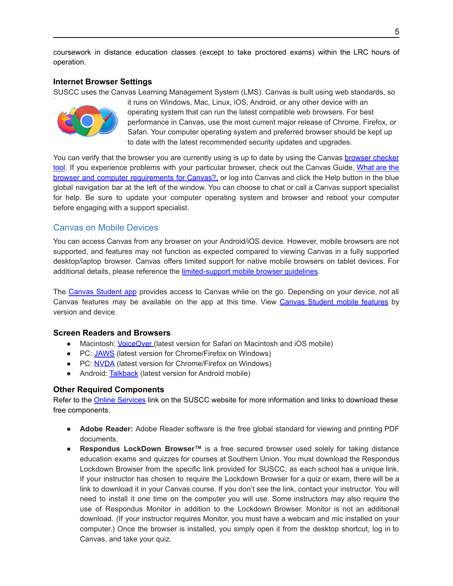coursework in distance education classes (except to take proctored exams) within the LRC hours of operation.

### **Internet Browser Settings**

SUSCC uses the Canvas Learning Management System (LMS). Canvas is built using web standards, so



it runs on Windows, Mac, Linux, iOS, Android, or any other device with an operating system that can run the latest compatible web browsers. For best performance in Canvas, use the most current major release of Chrome, Firefox, or Safari. Your computer operating system and preferred browser should be kept up to date with the latest recommended security updates and upgrades.

You can verify that the [browser](https://guides.instructure.com/m/67952/l/720329-what-are-the-browser-and-computer-requirements-for-canvas) you are currently using is up to date by using the Canvas browser checker [tool](https://guides.instructure.com/m/67952/l/720329-what-are-the-browser-and-computer-requirements-for-canvas). If you experience problems with your particular browser, check out the Canvas Guide, [What](https://guides.instructure.com/m/67952/l/720329-what-are-the-browser-and-computer-requirements-for-canvas) are the browser and computer [requirements](https://guides.instructure.com/m/67952/l/720329-what-are-the-browser-and-computer-requirements-for-canvas) for Canvas?, or log into Canvas and click the Help button in the blue global navigation bar at the left of the window. You can choose to chat or call a Canvas support specialist for help. Be sure to update your computer operating system and browser and reboot your computer before engaging with a support specialist.

### <span id="page-5-0"></span>Canvas on Mobile Devices

You can access Canvas from any browser on your Android/iOS device. However, mobile browsers are not supported, and features may not function as expected compared to viewing Canvas in a fully supported desktop/laptop browser. Canvas offers limited support for native mobile browsers on tablet devices. For additional details, please reference the [limited-support](https://guides.instructure.com/m/67952/l/1284600-what-are-the-limited-support-guidelines-for-mobile-browsers-on-tablet-devices) mobile browser guidelines.

The Canvas [Student](https://community.canvaslms.com/t5/Canvas-Mobile-Users/gh-p/mobile) app provides access to Canvas while on the go. Depending on your device, not all Canvas [features](https://s3.amazonaws.com/tr-learncanvas/docs/Mobile_CanvasStudent.pdf) may be available on the app at this time. View Canvas Student mobile features by version and device.

#### **Screen Readers and Browsers**

- Macintosh: *[VoiceOver](http://www.apple.com/accessibility/mac/vision/)* (latest version for Safari on Macintosh and iOS mobile)
- PC: [JAWS](https://www.freedomscientific.com/Products/software/JAWS/) (latest version for Chrome/Firefox on Windows)
- PC: [NVDA](https://www.nvaccess.org/) (latest version for Chrome/Firefox on Windows)
- Android: [Talkback](https://support.google.com/accessibility/android/answer/6283677?hl=en) (latest version for Android mobile)

#### **Other Required Components**

Refer to the Online [Services](http://www.suscc.edu/programs/technical-support.cms) link on the SUSCC website for more information and links to download these free components.

- **Adobe Reader:** Adobe Reader software is the free global standard for viewing and printing PDF documents.
- **Respondus LockDown Browser™** is a free secured browser used solely for taking distance education exams and quizzes for courses at Southern Union. You must download the Respondus Lockdown Browser from the specific link provided for SUSCC, as each school has a unique link. If your instructor has chosen to require the Lockdown Browser for a quiz or exam, there will be a link to download it in your Canvas course. If you don't see the link, contact your instructor. You will need to install it one time on the computer you will use. Some instructors may also require the use of Respondus Monitor in addition to the Lockdown Browser. Monitor is not an additional download. (If your instructor requires Monitor, you must have a webcam and mic installed on your computer.) Once the browser is installed, you simply open it from the desktop shortcut, log in to Canvas, and take your quiz.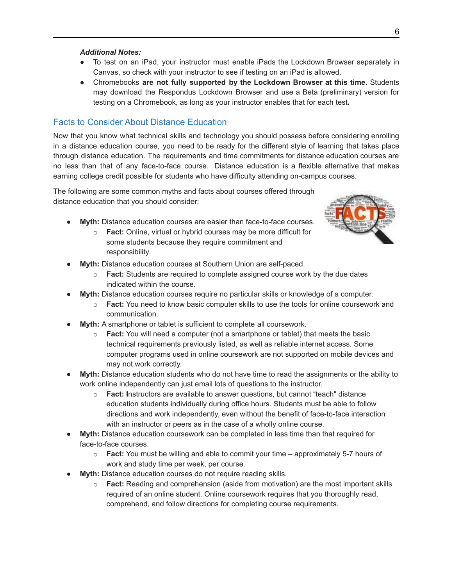#### *Additional Notes:*

- To test on an iPad, your instructor must enable iPads the Lockdown Browser separately in Canvas, so check with your instructor to see if testing on an iPad is allowed.
- Chromebooks **are not fully supported by the Lockdown Browser at this time.** Students may download the Respondus Lockdown Browser and use a Beta (preliminary) version for testing on a Chromebook, as long as your instructor enables that for each test**.**

### <span id="page-6-0"></span>Facts to Consider About Distance Education

Now that you know what technical skills and technology you should possess before considering enrolling in a distance education course, you need to be ready for the different style of learning that takes place through distance education. The requirements and time commitments for distance education courses are no less than that of any face-to-face course. Distance education is a flexible alternative that makes earning college credit possible for students who have difficulty attending on-campus courses.

The following are some common myths and facts about courses offered through distance education that you should consider:

- **Myth:** Distance education courses are easier than face-to-face courses.
	- o **Fact:** Online, virtual or hybrid courses may be more difficult for some students because they require commitment and responsibility.



- Myth: Distance education courses at Southern Union are self-paced.
	- o **Fact:** Students are required to complete assigned course work by the due dates indicated within the course.
- **Myth:** Distance education courses require no particular skills or knowledge of a computer.
	- **Fact:** You need to know basic computer skills to use the tools for online coursework and communication.
- **Myth:** A smartphone or tablet is sufficient to complete all coursework.
	- o **Fact:** You will need a computer (not a smartphone or tablet) that meets the basic technical requirements previously listed, as well as reliable internet access. Some computer programs used in online coursework are not supported on mobile devices and may not work correctly.
- **Myth:** Distance education students who do not have time to read the assignments or the ability to work online independently can just email lots of questions to the instructor.
	- o **Fact: I**nstructors are available to answer questions, but cannot "teach" distance education students individually during office hours. Students must be able to follow directions and work independently, even without the benefit of face-to-face interaction with an instructor or peers as in the case of a wholly online course.
- **Myth:** Distance education coursework can be completed in less time than that required for face-to-face courses.
	- o **Fact:** You must be willing and able to commit your time approximately 5-7 hours of work and study time per week, per course.
- **Myth:** Distance education courses do not require reading skills.
	- o **Fact:** Reading and comprehension (aside from motivation) are the most important skills required of an online student. Online coursework requires that you thoroughly read, comprehend, and follow directions for completing course requirements.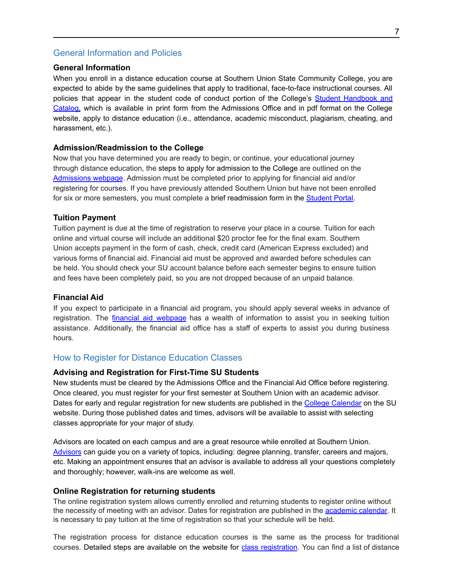### <span id="page-7-0"></span>General Information and Policies

### **General Information**

When you enroll in a distance education course at Southern Union State Community College, you are expected to abide by the same guidelines that apply to traditional, face-to-face instructional courses. All policies that appear in the student code of conduct portion of the College's Student [Handbook](http://www.suscc.edu/current-students/college-catalog-and-student-handbook.cms) and [Catalog](http://www.suscc.edu/current-students/college-catalog-and-student-handbook.cms), which is available in print form from the Admissions Office and in pdf format on the College website, apply to distance education (i.e., attendance, academic misconduct, plagiarism, cheating, and harassment, etc.).

#### **Admission/Readmission to the College**

Now that you have determined you are ready to begin, or continue, your educational journey through distance education, the steps to apply for admission to the College are outlined on the [Admissions](https://www.suscc.edu/about-suscc/admissions-overview.cms?Search=admissions) webpage. Admission must be completed prior to applying for financial aid and/or registering for courses. If you have previously attended Southern Union but have not been enrolled for six or more semesters, you must complete a brief readmission form in the [Student](https://ssb-prod.ec.accs.edu/PROD/SUSCC/twbkwbis.P_GenMenu?name=bmenu.P_MainMnu) Portal.

#### **Tuition Payment**

Tuition payment is due at the time of registration to reserve your place in a course. Tuition for each online and virtual course will include an additional \$20 proctor fee for the final exam. Southern Union accepts payment in the form of cash, check, credit card (American Express excluded) and various forms of financial aid. Financial aid must be approved and awarded before schedules can be held. You should check your SU account balance before each semester begins to ensure tuition and fees have been completely paid, so you are not dropped because of an unpaid balance.

### **Financial Aid**

If you expect to participate in a financial aid program, you should apply several weeks in advance of registration. The *financial aid [webpage](https://www.suscc.edu/about-suscc/financial-aid-overview.cms)* has a wealth of information to assist you in seeking tuition assistance. Additionally, the financial aid office has a staff of experts to assist you during business hours.

### <span id="page-7-1"></span>How to Register for Distance Education Classes

#### **Advising and Registration for First-Time SU Students**

New students must be cleared by the Admissions Office and the Financial Aid Office before registering. Once cleared, you must register for your first semester at Southern Union with an academic advisor. Dates for early and regular registration for new students are published in the College [Calendar](http://suscc.edu/current-students/academic-calendar.cms) on the SU website. During those published dates and times, advisors will be available to assist with selecting classes appropriate for your major of study.

Advisors are located on each campus and are a great resource while enrolled at Southern Union. [Advisors](http://www.suscc.edu/current-students/academic-advising.cms) can guide you on a variety of topics, including: degree planning, transfer, careers and majors, etc. Making an appointment ensures that an advisor is available to address all your questions completely and thoroughly; however, walk-ins are welcome as well.

#### **Online Registration for returning students**

The online registration system allows currently enrolled and returning students to register online without the necessity of meeting with an advisor. Dates for registration are published in the [academic](https://www.suscc.edu/current-students/academic-calendar.cms) calendar. It is necessary to pay tuition at the time of registration so that your schedule will be held.

The registration process for distance education courses is the same as the process for traditional courses. Detailed steps are available on the website for class [registration](https://www.suscc.edu/prospective-students/registration.cms). You can find a list of distance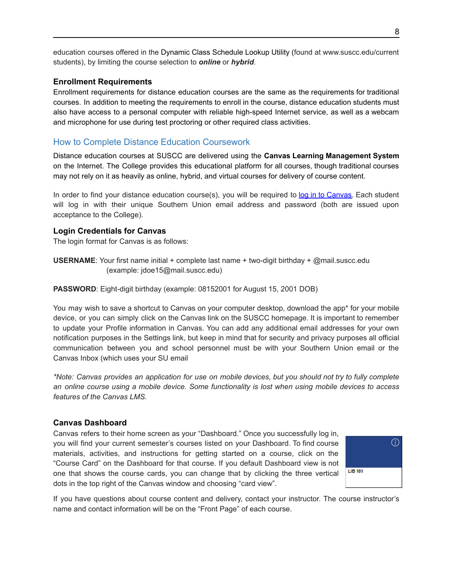education courses offered in the Dynamic Class Schedule Lookup Utility (found at [www.suscc.edu/current](http://www.suscc.edu/current) students), by limiting the course selection to *online* or *hybrid*.

### **Enrollment Requirements**

Enrollment requirements for distance education courses are the same as the requirements for traditional courses. In addition to meeting the requirements to enroll in the course, distance education students must also have access to a personal computer with reliable high-speed Internet service, as well as a webcam and microphone for use during test proctoring or other required class activities.

### <span id="page-8-0"></span>How to Complete Distance Education Coursework

Distance education courses at SUSCC are delivered using the **Canvas Learning Management System** on the Internet. The College provides this educational platform for all courses, though traditional courses may not rely on it as heavily as online, hybrid, and virtual courses for delivery of course content.

In order to find your distance education course(s), you will be required to log in to [Canvas.](http://www.suscc.edu/programs/technical-support.cms#CANVAS) Each student will log in with their unique Southern Union email address and password (both are issued upon acceptance to the College).

### **Login Credentials for Canvas**

The login format for Canvas is as follows:

**USERNAME**: Your first name initial + complete last name + two-digit birthday + @mail.suscc.edu (example: jdoe15@mail.suscc.edu)

**PASSWORD**: Eight-digit birthday (example: 08152001 for August 15, 2001 DOB)

You may wish to save a shortcut to Canvas on your computer desktop, download the app\* for your mobile device, or you can simply click on the Canvas link on the SUSCC homepage. It is important to remember to update your Profile information in Canvas. You can add any additional email addresses for your own notification purposes in the Settings link, but keep in mind that for security and privacy purposes all official communication between you and school personnel must be with your Southern Union email or the Canvas Inbox (which uses your SU email

\*Note: Canvas provides an application for use on mobile devices, but you should not try to fully complete *an online course using a mobile device. Some functionality is lost when using mobile devices to access features of the Canvas LMS.*

### **Canvas Dashboard**

Canvas refers to their home screen as your "Dashboard." Once you successfully log in, you will find your current semester's courses listed on your Dashboard. To find course materials, activities, and instructions for getting started on a course, click on the "Course Card" on the Dashboard for that course. If you default Dashboard view is not one that shows the course cards, you can change that by clicking the three vertical dots in the top right of the Canvas window and choosing "card view".



If you have questions about course content and delivery, contact your instructor. The course instructor's name and contact information will be on the "Front Page" of each course.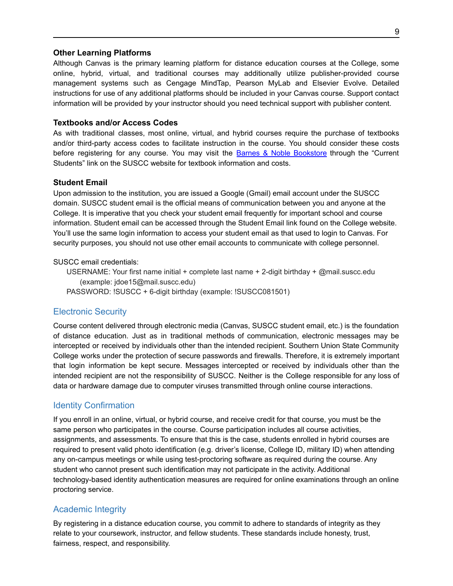#### **Other Learning Platforms**

Although Canvas is the primary learning platform for distance education courses at the College, some online, hybrid, virtual, and traditional courses may additionally utilize publisher-provided course management systems such as Cengage MindTap, Pearson MyLab and Elsevier Evolve. Detailed instructions for use of any additional platforms should be included in your Canvas course. Support contact information will be provided by your instructor should you need technical support with publisher content.

#### **Textbooks and/or Access Codes**

As with traditional classes, most online, virtual, and hybrid courses require the purchase of textbooks and/or third-party access codes to facilitate instruction in the course. You should consider these costs before registering for any course. You may visit the Barnes & Noble [Bookstore](https://www.suscc.edu/current-students/bookstore.cms) through the "Current" Students" link on the SUSCC website for textbook information and costs.

### **Student Email**

Upon admission to the institution, you are issued a Google (Gmail) email account under the SUSCC domain. SUSCC student email is the official means of communication between you and anyone at the College. It is imperative that you check your student email frequently for important school and course information. Student email can be accessed through the Student Email link found on the College website. You'll use the same login information to access your student email as that used to login to Canvas. For security purposes, you should not use other email accounts to communicate with college personnel.

#### SUSCC email credentials:

USERNAME: Your first name initial + complete last name + 2-digit birthday + @mail.suscc.edu (example: jdoe15@mail.suscc.edu)

PASSWORD: !SUSCC + 6-digit birthday (example: !SUSCC081501)

### <span id="page-9-0"></span>Electronic Security

Course content delivered through electronic media (Canvas, SUSCC student email, etc.) is the foundation of distance education. Just as in traditional methods of communication, electronic messages may be intercepted or received by individuals other than the intended recipient. Southern Union State Community College works under the protection of secure passwords and firewalls. Therefore, it is extremely important that login information be kept secure. Messages intercepted or received by individuals other than the intended recipient are not the responsibility of SUSCC. Neither is the College responsible for any loss of data or hardware damage due to computer viruses transmitted through online course interactions.

#### <span id="page-9-1"></span>Identity Confirmation

If you enroll in an online, virtual, or hybrid course, and receive credit for that course, you must be the same person who participates in the course. Course participation includes all course activities, assignments, and assessments. To ensure that this is the case, students enrolled in hybrid courses are required to present valid photo identification (e.g. driver's license, College ID, military ID) when attending any on-campus meetings or while using test-proctoring software as required during the course. Any student who cannot present such identification may not participate in the activity. Additional technology-based identity authentication measures are required for online examinations through an online proctoring service.

### <span id="page-9-2"></span>Academic Integrity

By registering in a distance education course, you commit to adhere to standards of integrity as they relate to your coursework, instructor, and fellow students. These standards include honesty, trust, fairness, respect, and responsibility.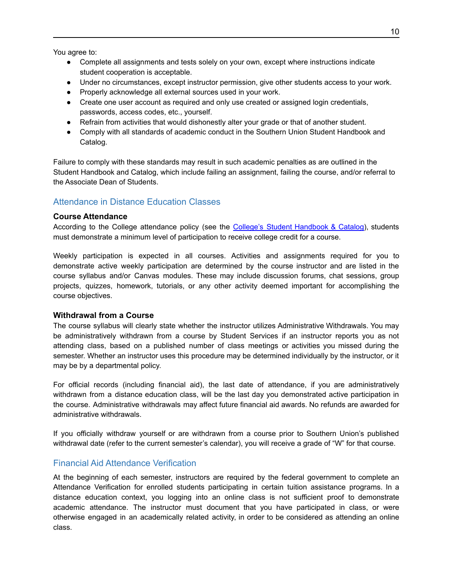You agree to:

- Complete all assignments and tests solely on your own, except where instructions indicate student cooperation is acceptable.
- Under no circumstances, except instructor permission, give other students access to your work.
- Properly acknowledge all external sources used in your work.
- Create one user account as required and only use created or assigned login credentials, passwords, access codes, etc., yourself.
- Refrain from activities that would dishonestly alter your grade or that of another student.
- Comply with all standards of academic conduct in the Southern Union Student Handbook and Catalog.

Failure to comply with these standards may result in such academic penalties as are outlined in the Student Handbook and Catalog, which include failing an assignment, failing the course, and/or referral to the Associate Dean of Students.

### <span id="page-10-0"></span>Attendance in Distance Education Classes

#### **Course Attendance**

According to the College attendance policy (see the College's Student [Handbook](https://www.suscc.edu/current-students/college-catalog-and-student-handbook.cms) & Catalog), students must demonstrate a minimum level of participation to receive college credit for a course.

Weekly participation is expected in all courses. Activities and assignments required for you to demonstrate active weekly participation are determined by the course instructor and are listed in the course syllabus and/or Canvas modules. These may include discussion forums, chat sessions, group projects, quizzes, homework, tutorials, or any other activity deemed important for accomplishing the course objectives.

#### **Withdrawal from a Course**

The course syllabus will clearly state whether the instructor utilizes Administrative Withdrawals. You may be administratively withdrawn from a course by Student Services if an instructor reports you as not attending class, based on a published number of class meetings or activities you missed during the semester. Whether an instructor uses this procedure may be determined individually by the instructor, or it may be by a departmental policy.

For official records (including financial aid), the last date of attendance, if you are administratively withdrawn from a distance education class, will be the last day you demonstrated active participation in the course. Administrative withdrawals may affect future financial aid awards. No refunds are awarded for administrative withdrawals.

If you officially withdraw yourself or are withdrawn from a course prior to Southern Union's published withdrawal date (refer to the current semester's calendar), you will receive a grade of "W" for that course.

### <span id="page-10-1"></span>Financial Aid Attendance Verification

At the beginning of each semester, instructors are required by the federal government to complete an Attendance Verification for enrolled students participating in certain tuition assistance programs. In a distance education context, you logging into an online class is not sufficient proof to demonstrate academic attendance. The instructor must document that you have participated in class, or were otherwise engaged in an academically related activity, in order to be considered as attending an online class.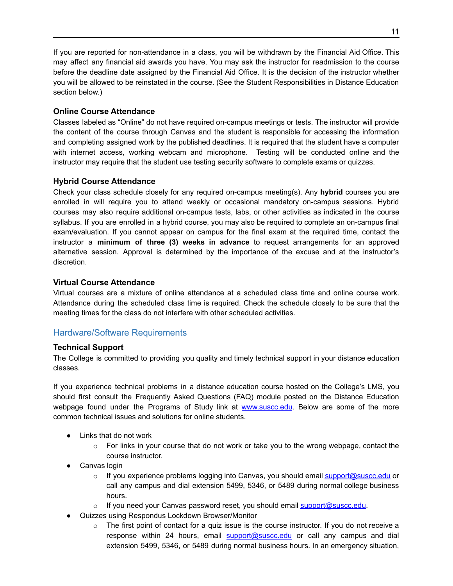If you are reported for non-attendance in a class, you will be withdrawn by the Financial Aid Office. This may affect any financial aid awards you have. You may ask the instructor for readmission to the course before the deadline date assigned by the Financial Aid Office. It is the decision of the instructor whether you will be allowed to be reinstated in the course. (See the Student Responsibilities in Distance Education section below.)

### **Online Course Attendance**

Classes labeled as "Online" do not have required on-campus meetings or tests. The instructor will provide the content of the course through Canvas and the student is responsible for accessing the information and completing assigned work by the published deadlines. It is required that the student have a computer with internet access, working webcam and microphone. Testing will be conducted online and the instructor may require that the student use testing security software to complete exams or quizzes.

### **Hybrid Course Attendance**

Check your class schedule closely for any required on-campus meeting(s). Any **hybrid** courses you are enrolled in will require you to attend weekly or occasional mandatory on-campus sessions. Hybrid courses may also require additional on-campus tests, labs, or other activities as indicated in the course syllabus. If you are enrolled in a hybrid course, you may also be required to complete an on-campus final exam/evaluation. If you cannot appear on campus for the final exam at the required time, contact the instructor a **minimum of three (3) weeks in advance** to request arrangements for an approved alternative session. Approval is determined by the importance of the excuse and at the instructor's discretion.

### **Virtual Course Attendance**

Virtual courses are a mixture of online attendance at a scheduled class time and online course work. Attendance during the scheduled class time is required. Check the schedule closely to be sure that the meeting times for the class do not interfere with other scheduled activities.

### <span id="page-11-0"></span>Hardware/Software Requirements

### **Technical Support**

The College is committed to providing you quality and timely technical support in your distance education classes.

If you experience technical problems in a distance education course hosted on the College's LMS, you should first consult the Frequently Asked Questions (FAQ) module posted on the Distance Education webpage found under the Programs of Study link at [www.suscc.edu](http://www.suscc.edu). Below are some of the more common technical issues and solutions for online students.

- Links that do not work
	- $\circ$  For links in your course that do not work or take you to the wrong webpage, contact the course instructor.
- Canvas login
	- o If you experience problems logging into Canvas, you should email [support@suscc.edu](mailto:support@suscc.edu) or call any campus and dial extension 5499, 5346, or 5489 during normal college business hours.
	- $\circ$  If you need your Canvas password reset, you should email [support@suscc.edu.](mailto:support@suscc.edu)
- Quizzes using Respondus Lockdown Browser/Monitor
	- $\circ$  The first point of contact for a quiz issue is the course instructor. If you do not receive a response within 24 hours, email [support@suscc.edu](mailto:support@suscc.edu) or call any campus and dial extension 5499, 5346, or 5489 during normal business hours. In an emergency situation,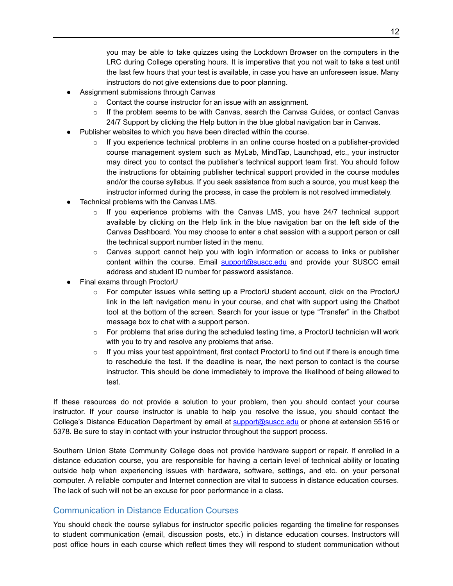you may be able to take quizzes using the Lockdown Browser on the computers in the LRC during College operating hours. It is imperative that you not wait to take a test until the last few hours that your test is available, in case you have an unforeseen issue. Many instructors do not give extensions due to poor planning.

- Assignment submissions through Canvas
	- o Contact the course instructor for an issue with an assignment.
	- $\circ$  If the problem seems to be with Canvas, search the Canvas Guides, or contact Canvas 24/7 Support by clicking the Help button in the blue global navigation bar in Canvas.
- Publisher websites to which you have been directed within the course.
	- $\circ$  If you experience technical problems in an online course hosted on a publisher-provided course management system such as MyLab, MindTap, Launchpad, etc., your instructor may direct you to contact the publisher's technical support team first. You should follow the instructions for obtaining publisher technical support provided in the course modules and/or the course syllabus. If you seek assistance from such a source, you must keep the instructor informed during the process, in case the problem is not resolved immediately.
- Technical problems with the Canvas LMS.
	- $\circ$  If you experience problems with the Canvas LMS, you have 24/7 technical support available by clicking on the Help link in the blue navigation bar on the left side of the Canvas Dashboard. You may choose to enter a chat session with a support person or call the technical support number listed in the menu.
	- o Canvas support cannot help you with login information or access to links or publisher content within the course. Email [support@suscc.edu](mailto:support@suscc.edu) and provide your SUSCC email address and student ID number for password assistance.
- Final exams through ProctorU
	- $\circ$  For computer issues while setting up a ProctorU student account, click on the ProctorU link in the left navigation menu in your course, and chat with support using the Chatbot tool at the bottom of the screen. Search for your issue or type "Transfer" in the Chatbot message box to chat with a support person.
	- $\circ$  For problems that arise during the scheduled testing time, a ProctorU technician will work with you to try and resolve any problems that arise.
	- $\circ$  If you miss your test appointment, first contact ProctorU to find out if there is enough time to reschedule the test. If the deadline is near, the next person to contact is the course instructor. This should be done immediately to improve the likelihood of being allowed to test.

If these resources do not provide a solution to your problem, then you should contact your course instructor. If your course instructor is unable to help you resolve the issue, you should contact the College's Distance Education Department by email at [support@suscc.edu](mailto:support@suscc.edu) or phone at extension 5516 or 5378. Be sure to stay in contact with your instructor throughout the support process.

Southern Union State Community College does not provide hardware support or repair. If enrolled in a distance education course, you are responsible for having a certain level of technical ability or locating outside help when experiencing issues with hardware, software, settings, and etc. on your personal computer. A reliable computer and Internet connection are vital to success in distance education courses. The lack of such will not be an excuse for poor performance in a class.

### <span id="page-12-0"></span>Communication in Distance Education Courses

You should check the course syllabus for instructor specific policies regarding the timeline for responses to student communication (email, discussion posts, etc.) in distance education courses. Instructors will post office hours in each course which reflect times they will respond to student communication without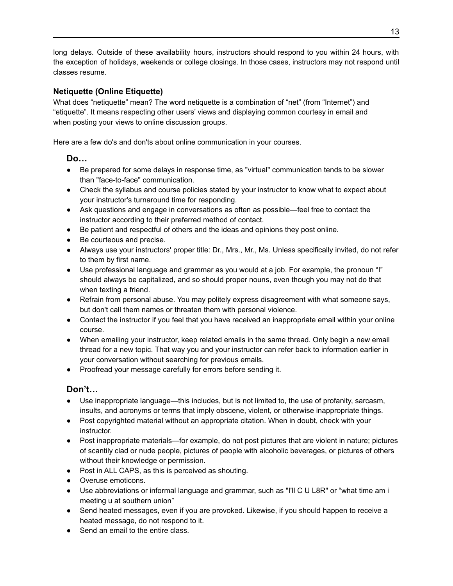long delays. Outside of these availability hours, instructors should respond to you within 24 hours, with the exception of holidays, weekends or college closings. In those cases, instructors may not respond until classes resume.

### **Netiquette (Online Etiquette)**

What does "netiquette" mean? The word netiquette is a combination of "net" (from "Internet") and "etiquette". It means respecting other users' views and displaying common courtesy in email and when posting your views to online discussion groups.

Here are a few do's and don'ts about online communication in your courses.

### **Do…**

- Be prepared for some delays in response time, as "virtual" communication tends to be slower than "face-to-face" communication.
- Check the syllabus and course policies stated by your instructor to know what to expect about your instructor's turnaround time for responding.
- Ask questions and engage in conversations as often as possible—feel free to contact the instructor according to their preferred method of contact.
- Be patient and respectful of others and the ideas and opinions they post online.
- Be courteous and precise.
- Always use your instructors' proper title: Dr., Mrs., Mr., Ms. Unless specifically invited, do not refer to them by first name.
- Use professional language and grammar as you would at a job. For example, the pronoun "I" should always be capitalized, and so should proper nouns, even though you may not do that when texting a friend.
- Refrain from personal abuse. You may politely express disagreement with what someone says, but don't call them names or threaten them with personal violence.
- Contact the instructor if you feel that you have received an inappropriate email within your online course.
- When emailing your instructor, keep related emails in the same thread. Only begin a new email thread for a new topic. That way you and your instructor can refer back to information earlier in your conversation without searching for previous emails.
- Proofread your message carefully for errors before sending it.

### <span id="page-13-0"></span>**Don't…**

- Use inappropriate language—this includes, but is not limited to, the use of profanity, sarcasm, insults, and acronyms or terms that imply obscene, violent, or otherwise inappropriate things.
- Post copyrighted material without an appropriate citation. When in doubt, check with your instructor.
- Post inappropriate materials—for example, do not post pictures that are violent in nature; pictures of [scantily](#page-13-0) clad or nude people, pictures of people with alcoholic beverages, or pictures of others without their knowledge or permission.
- Post in ALL CAPS, as this is perceived as shouting.
- Overuse emoticons.
- Use abbreviations or informal language and grammar, such as "I'll C U L8R" or "what time am i meeting u at southern union"
- Send heated messages, even if you are provoked. Likewise, if you should happen to receive a heated message, do not respond to it.
- Send an email to the entire class.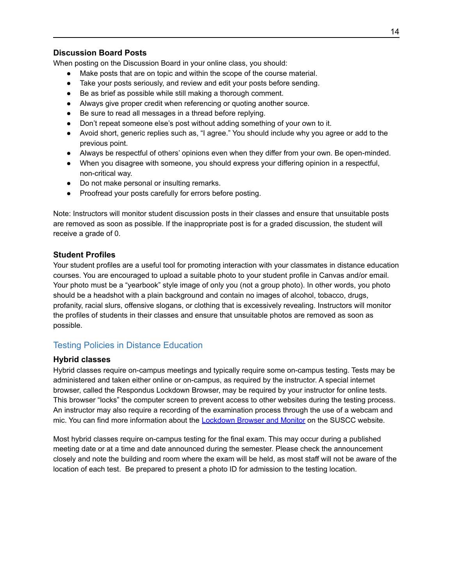### **Discussion Board Posts**

When posting on the Discussion Board in your online class, you should:

- Make posts that are on topic and within the scope of the course material.
- Take your posts seriously, and review and edit your posts before sending.
- Be as brief as possible while still making a thorough comment.
- Always give proper credit when referencing or quoting another source.
- Be sure to read all messages in a thread before replying.
- Don't repeat someone else's post without adding something of your own to it.
- Avoid short, generic replies such as, "I agree." You should include why you agree or add to the previous point.
- Always be respectful of others' opinions even when they differ from your own. Be open-minded.
- When you disagree with someone, you should express your differing opinion in a respectful, non-critical way.
- Do not make personal or insulting remarks.
- Proofread your posts carefully for errors before posting.

Note: Instructors will monitor student discussion posts in their classes and ensure that unsuitable posts are removed as soon as possible. If the inappropriate post is for a graded discussion, the student will receive a grade of 0.

### **Student Profiles**

Your student profiles are a useful tool for promoting interaction with your classmates in distance education courses. You are encouraged to upload a suitable photo to your student profile in Canvas and/or email. Your photo must be a "yearbook" style image of only you (not a group photo). In other words, you photo should be a headshot with a plain background and contain no images of alcohol, tobacco, drugs, profanity, racial slurs, offensive slogans, or clothing that is excessively revealing. Instructors will monitor the profiles of students in their classes and ensure that unsuitable photos are removed as soon as possible.

### <span id="page-14-0"></span>Testing Policies in Distance Education

### **Hybrid classes**

Hybrid classes require on-campus meetings and typically require some on-campus testing. Tests may be administered and taken either online or on-campus, as required by the instructor. A special internet browser, called the Respondus Lockdown Browser, may be required by your instructor for online tests. This browser "locks" the computer screen to prevent access to other websites during the testing process. An instructor may also require a recording of the examination process through the use of a webcam and mic. You can find more information about the **[Lockdown](https://www.suscc.edu/programs/technical-support.cms?Search=lockdown,browser) Browser and Monitor** on the SUSCC website.

Most hybrid classes require on-campus testing for the final exam. This may occur during a published meeting date or at a time and date announced during the semester. Please check the announcement closely and note the building and room where the exam will be held, as most staff will not be aware of the location of each test. Be prepared to present a photo ID for admission to the testing location.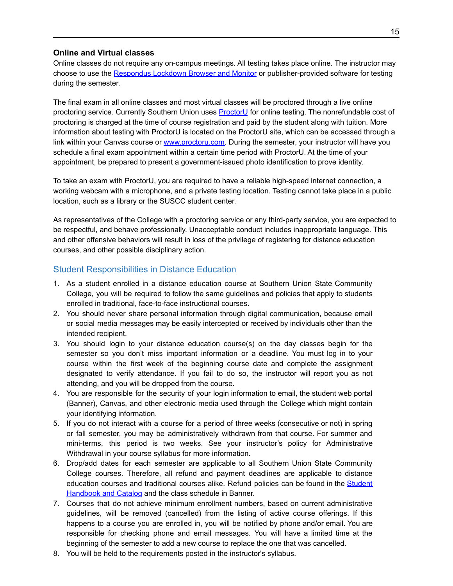### **Online and Virtual classes**

Online classes do not require any on-campus meetings. All testing takes place online. The instructor may choose to use the [Respondus](https://www.suscc.edu/programs/technical-support.cms?Search=lockdown,browser) Lockdown Browser and Monitor or publisher-provided software for testing during the semester.

The final exam in all online classes and most virtual classes will be proctored through a live online proctoring service. Currently Southern Union uses **[ProctorU](https://www.suscc.edu/programs/technical-support.cms#proctor)** for online testing. The nonrefundable cost of proctoring is charged at the time of course registration and paid by the student along with tuition. More information about testing with ProctorU is located on the ProctorU site, which can be accessed through a link within your Canvas course or www.proctoru.com. During the semester, your instructor will have you schedule a final exam appointment within a certain time period with ProctorU. At the time of your appointment, be prepared to present a government-issued photo identification to prove identity.

To take an exam with ProctorU, you are required to have a reliable high-speed internet connection, a working webcam with a microphone, and a private testing location. Testing cannot take place in a public location, such as a library or the SUSCC student center.

As representatives of the College with a proctoring service or any third-party service, you are expected to be respectful, and behave professionally. Unacceptable conduct includes inappropriate language. This and other offensive behaviors will result in loss of the privilege of registering for distance education courses, and other possible disciplinary action.

### <span id="page-15-0"></span>Student Responsibilities in Distance Education

- 1. As a student enrolled in a distance education course at Southern Union State Community College, you will be required to follow the same guidelines and policies that apply to students enrolled in traditional, face-to-face instructional courses.
- 2. You should never share personal information through digital communication, because email or social media messages may be easily intercepted or received by individuals other than the intended recipient.
- 3. You should login to your distance education course(s) on the day classes begin for the semester so you don't miss important information or a deadline. You must log in to your course within the first week of the beginning course date and complete the assignment designated to verify attendance. If you fail to do so, the instructor will report you as not attending, and you will be dropped from the course.
- 4. You are responsible for the security of your login information to email, the student web portal (Banner), Canvas, and other electronic media used through the College which might contain your identifying information.
- 5. If you do not interact with a course for a period of three weeks (consecutive or not) in spring or fall semester, you may be administratively withdrawn from that course. For summer and mini-terms, this period is two weeks. See your instructor's policy for Administrative Withdrawal in your course syllabus for more information.
- 6. Drop/add dates for each semester are applicable to all Southern Union State Community College courses. Therefore, all refund and payment deadlines are applicable to distance education courses and traditional courses alike. Refund policies can be found in the [Student](http://www.suscc.edu/current-students/college-catalog-and-student-handbook.cms) [Handbook](http://www.suscc.edu/current-students/college-catalog-and-student-handbook.cms) and Catalog and the class schedule in Banner.
- 7. Courses that do not achieve minimum enrollment numbers, based on current administrative guidelines, will be removed (cancelled) from the listing of active course offerings. If this happens to a course you are enrolled in, you will be notified by phone and/or email. You are responsible for checking phone and email messages. You will have a limited time at the beginning of the semester to add a new course to replace the one that was cancelled.
- 8. You will be held to the requirements posted in the instructor's syllabus.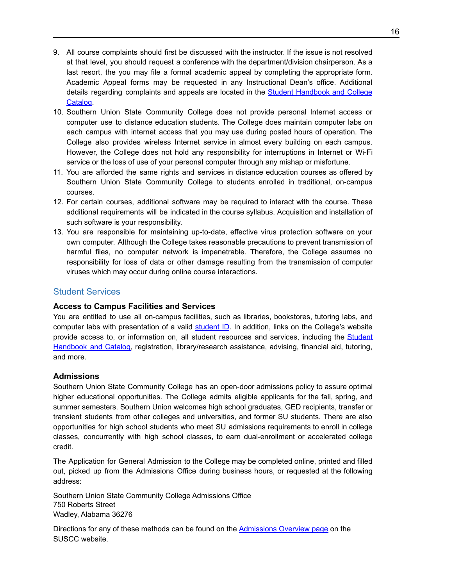- 9. All course complaints should first be discussed with the instructor. If the issue is not resolved at that level, you should request a conference with the department/division chairperson. As a last resort, the you may file a formal academic appeal by completing the appropriate form. Academic Appeal forms may be requested in any Instructional Dean's office. Additional details regarding complaints and appeals are located in the Student [Handbook](https://www.suscc.edu/current-students/college-catalog-and-student-handbook.cms) and College [Catalog](https://www.suscc.edu/current-students/college-catalog-and-student-handbook.cms).
- 10. Southern Union State Community College does not provide personal Internet access or computer use to distance education students. The College does maintain computer labs on each campus with internet access that you may use during posted hours of operation. The College also provides wireless Internet service in almost every building on each campus. However, the College does not hold any responsibility for interruptions in Internet or Wi-Fi service or the loss of use of your personal computer through any mishap or misfortune.
- 11. You are afforded the same rights and services in distance education courses as offered by Southern Union State Community College to students enrolled in traditional, on-campus courses.
- 12. For certain courses, additional software may be required to interact with the course. These additional requirements will be indicated in the course syllabus. Acquisition and installation of such software is your responsibility.
- 13. You are responsible for maintaining up-to-date, effective virus protection software on your own computer. Although the College takes reasonable precautions to prevent transmission of harmful files, no computer network is impenetrable. Therefore, the College assumes no responsibility for loss of data or other damage resulting from the transmission of computer viruses which may occur during online course interactions.

### <span id="page-16-0"></span>Student Services

### **Access to Campus Facilities and Services**

You are entitled to use all on-campus facilities, such as libraries, bookstores, tutoring labs, and computer labs with presentation of a valid [student](http://www.suscc.edu/prospective-students/student-id-cards-parking-permits.cms) ID. In addition, links on the College's website provide access to, or information on, all student resources and services, including the [Student](http://www.suscc.edu/current-students/college-catalog-and-student-handbook.cms) [Handbook](http://www.suscc.edu/current-students/college-catalog-and-student-handbook.cms) and Catalog, registration, library/research assistance, advising, financial aid, tutoring, and more.

### **Admissions**

Southern Union State Community College has an open-door admissions policy to assure optimal higher educational opportunities. The College admits eligible applicants for the fall, spring, and summer semesters. Southern Union welcomes high school graduates, GED recipients, transfer or transient students from other colleges and universities, and former SU students. There are also opportunities for high school students who meet SU admissions requirements to enroll in college classes, concurrently with high school classes, to earn dual-enrollment or accelerated college credit.

The Application for General Admission to the College may be completed online, printed and filled out, picked up from the Admissions Office during business hours, or requested at the following address:

Southern Union State Community College Admissions Office 750 Roberts Street Wadley, Alabama 36276

Directions for any of these methods can be found on the [Admissions](https://www.suscc.edu/about-suscc/admissions-overview.cms?Search=admissions) Overview page on the SUSCC website.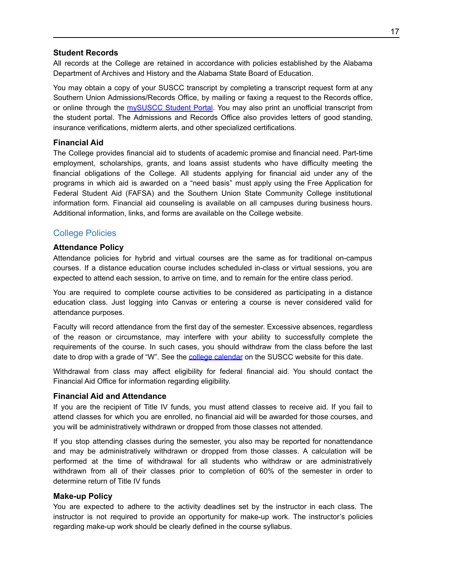### **Student Records**

All records at the College are retained in accordance with policies established by the Alabama Department of Archives and History and the Alabama State Board of Education.

You may obtain a copy of your SUSCC transcript by completing a transcript request [form](http://www.suscc.edu/about-suscc/admissions-forms.cms) at any Southern Union Admissions/Records Office, by mailing or faxing a [request](http://www.suscc.edu/about-suscc/admissions-forms.cms) to the Records office, or online through the [mySUSCC](https://ssb-prod.ec.accs.edu/ssomanager/saml/login?relayState=/c/auth/SSB?campus=https://ssb-prod.ec.accs.edu/PROD/SUSCC/twbkwbis.P_GenMenu?name=bmenu.P_MainMnu&accessibility=false) Student Portal. You may also print an unofficial transcript from the student portal. The Admissions and Records Office also provides letters of good standing, insurance verifications, midterm alerts, and other specialized certifications.

### **Financial Aid**

The College provides financial aid to students of academic promise and financial need. Part-time employment, scholarships, grants, and loans assist students who have difficulty meeting the financial obligations of the College. All students applying for financial aid under any of the programs in which aid is awarded on a "need basis" must apply using the Free [Application](https://fafsa.gov/) for Federal Student Aid [\(FAFSA\)](https://fafsa.gov/) and the Southern Union State Community College institutional information form. Financial aid counseling is available on all campuses during business hours. Additional information, links, and forms are available on the College website.

### <span id="page-17-0"></span>College Policies

### **Attendance Policy**

Attendance policies for hybrid and virtual courses are the same as for traditional on-campus courses. If a distance education course includes scheduled in-class or virtual sessions, you are expected to attend each session, to arrive on time, and to remain for the entire class period.

You are required to complete course activities to be considered as participating in a distance education class. Just logging into Canvas or entering a course is never considered valid for attendance purposes.

Faculty will record attendance from the first day of the semester. Excessive absences, regardless of the reason or circumstance, may interfere with your ability to successfully complete the requirements of the course. In such cases, you should withdraw from the class before the last date to drop with a grade of "W". See the college [calendar](https://www.suscc.edu/about-suscc/calendar.cms) on the SUSCC website for this date.

Withdrawal from class may affect eligibility for federal financial aid. You should contact the Financial Aid Office for information regarding eligibility.

#### **Financial Aid and Attendance**

If you are the recipient of Title IV funds, you must attend classes to receive aid. If you fail to attend classes for which you are enrolled, no financial aid will be awarded for those courses, and you will be administratively withdrawn or dropped from those classes not attended.

If you stop attending classes during the semester, you also may be reported for nonattendance and may be administratively withdrawn or dropped from those classes. A calculation will be performed at the time of withdrawal for all students who withdraw or are administratively withdrawn from all of their classes prior to completion of 60% of the semester in order to determine return of Title IV funds

#### **Make-up Policy**

You are expected to adhere to the activity deadlines set by the instructor in each class. The instructor is not required to provide an opportunity for make-up work. The instructor's policies regarding make-up work should be clearly defined in the course syllabus.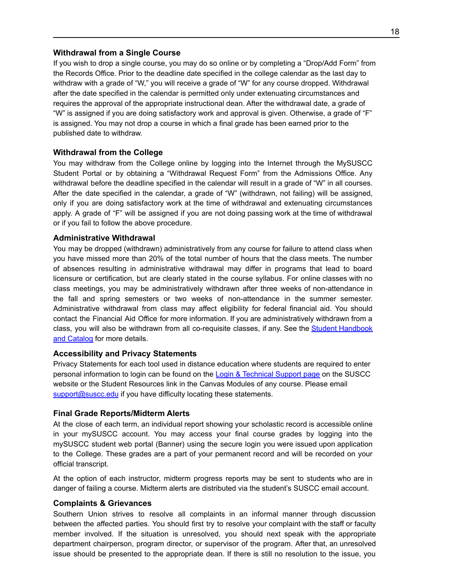#### **Withdrawal from a Single Course**

If you wish to drop a single course, you may do so online or by completing a "Drop/Add Form" from the Records Office. Prior to the deadline date specified in the college calendar as the last day to withdraw with a grade of "W," you will receive a grade of "W" for any course dropped. Withdrawal after the date specified in the calendar is permitted only under extenuating circumstances and requires the approval of the appropriate instructional dean. After the withdrawal date, a grade of "W" is assigned if you are doing satisfactory work and approval is given. Otherwise, a grade of "F" is assigned. You may not drop a course in which a final grade has been earned prior to the published date to withdraw.

#### **Withdrawal from the College**

You may withdraw from the College online by logging into the Internet through the MySUSCC Student Portal or by obtaining a "Withdrawal Request Form" from the Admissions Office. Any withdrawal before the deadline specified in the calendar will result in a grade of "W" in all courses. After the date specified in the calendar, a grade of "W" (withdrawn, not failing) will be assigned, only if you are doing satisfactory work at the time of withdrawal and extenuating circumstances apply. A grade of "F" will be assigned if you are not doing passing work at the time of withdrawal or if you fail to follow the above procedure.

#### **Administrative Withdrawal**

You may be dropped (withdrawn) administratively from any course for failure to attend class when you have missed more than 20% of the total number of hours that the class meets. The number of absences resulting in administrative withdrawal may differ in programs that lead to board licensure or certification, but are clearly stated in the course syllabus. For online classes with no class meetings, you may be administratively withdrawn after three weeks of non-attendance in the fall and spring semesters or two weeks of non-attendance in the summer semester. Administrative withdrawal from class may affect eligibility for federal financial aid. You should contact the Financial Aid Office for more information. If you are administratively withdrawn from a class, you will also be withdrawn from all co-requisite classes, if any. See the Student [Handbook](https://www.suscc.edu/current-students/college-catalog-and-student-handbook.cms) and [Catalog](https://www.suscc.edu/current-students/college-catalog-and-student-handbook.cms) for more details.

#### **Accessibility and Privacy Statements**

Privacy Statements for each tool used in distance education where students are required to enter personal information to login can be found on the Login & [Technical](https://www.suscc.edu/programs/technical-support.cms?Search=privacy,policies) Support page on the SUSCC website or the Student Resources link in the Canvas Modules of any course. Please email [support@suscc.edu](mailto:support@suscc.edu) if you have difficulty locating these statements.

#### **Final Grade Reports/Midterm Alerts**

At the close of each term, an individual report showing your scholastic record is accessible online in your mySUSCC account. You may access your final course grades by logging into the mySUSCC student web portal (Banner) using the secure login you were issued upon application to the College. These grades are a part of your permanent record and will be recorded on your official transcript.

At the option of each instructor, midterm progress reports may be sent to students who are in danger of failing a course. Midterm alerts are distributed via the student's SUSCC email account.

#### **Complaints & Grievances**

Southern Union strives to resolve all complaints in an informal manner through discussion between the affected parties. You should first try to resolve your complaint with the staff or faculty member involved. If the situation is unresolved, you should next speak with the appropriate department chairperson, program director, or supervisor of the program. After that, an unresolved issue should be presented to the appropriate dean. If there is still no resolution to the issue, you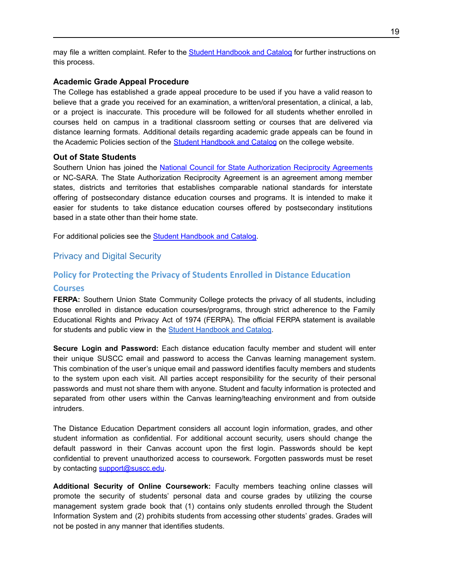may file a written complaint. Refer to the Student [Handbook](https://www.suscc.edu/current-students/college-catalog-and-student-handbook.cms) and Catalog for further instructions on this process.

### **Academic Grade Appeal Procedure**

The College has established a grade appeal procedure to be used if you have a valid reason to believe that a grade you received for an examination, a written/oral presentation, a clinical, a lab, or a project is inaccurate. This procedure will be followed for all students whether enrolled in courses held on campus in a traditional classroom setting or courses that are delivered via distance learning formats. Additional details regarding academic grade appeals can be found in the Academic Policies section of the Student [Handbook](https://www.suscc.edu/current-students/college-catalog-and-student-handbook.cms) and Catalog on the college website.

#### **Out of State Students**

Southern Union has joined the National Council for State [Authorization](http://www.nc-sara.org/what-are-student-benefits) Reciprocity Agreements or NC-SARA. The State Authorization Reciprocity Agreement is an agreement among member states, districts and territories that establishes comparable national standards for interstate offering of postsecondary distance education courses and programs. It is intended to make it easier for students to take distance education courses offered by postsecondary institutions based in a state other than their home state.

<span id="page-19-0"></span>For additional policies see the Student [Handbook](https://www.suscc.edu/current-students/college-catalog-and-student-handbook.cms) and Catalog.

### Privacy and Digital Security

### **Policy for Protecting the Privacy of Students Enrolled in Distance Education**

#### <span id="page-19-1"></span>**Courses**

**FERPA:** Southern Union State Community College protects the privacy of all students, including those enrolled in distance education courses/programs, through strict adherence to the Family Educational Rights and Privacy Act of 1974 (FERPA). The official FERPA statement is available for students and public view in the Student [Handbook](https://www.suscc.edu/current-students/college-catalog-and-student-handbook.cms) and Catalog.

**Secure Login and Password:** Each distance education faculty member and student will enter their unique SUSCC email and password to access the Canvas learning management system. This combination of the user's unique email and password identifies faculty members and students to the system upon each visit. All parties accept responsibility for the security of their personal passwords and must not share them with anyone. Student and faculty information is protected and separated from other users within the Canvas learning/teaching environment and from outside intruders.

The Distance Education Department considers all account login information, grades, and other student information as confidential. For additional account security, users should change the default password in their Canvas account upon the first login. Passwords should be kept confidential to prevent unauthorized access to coursework. Forgotten passwords must be reset by contacting [support@suscc.edu](http://support@suscc.edu/).

**Additional Security of Online Coursework:** Faculty members teaching online classes will promote the security of students' personal data and course grades by utilizing the course management system grade book that (1) contains only students enrolled through the Student Information System and (2) prohibits students from accessing other students' grades. Grades will not be posted in any manner that identifies students.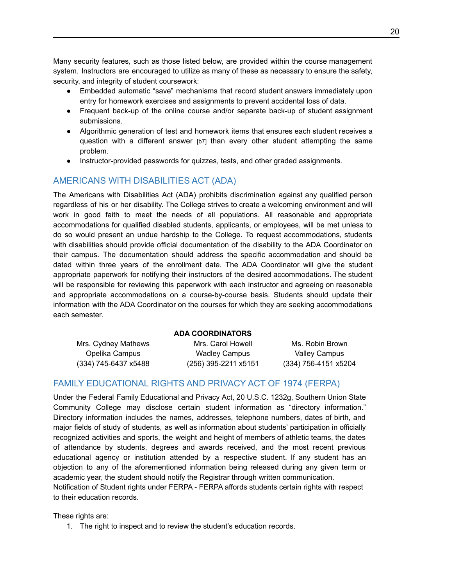Many security features, such as those listed below, are provided within the course management system. Instructors are encouraged to utilize as many of these as necessary to ensure the safety, security, and integrity of student coursework:

- Embedded automatic "save" mechanisms that record student answers immediately upon entry for homework exercises and assignments to prevent accidental loss of data.
- Frequent back-up of the online course and/or separate back-up of student assignment submissions.
- Algorithmic generation of test and homework items that ensures each student receives a question with a different answer [b7] than every other student attempting the same problem.
- Instructor-provided passwords for quizzes, tests, and other graded assignments.

### <span id="page-20-0"></span>AMERICANS WITH DISABILITIES ACT (ADA)

The Americans with Disabilities Act (ADA) prohibits discrimination against any qualified person regardless of his or her disability. The College strives to create a welcoming environment and will work in good faith to meet the needs of all populations. All reasonable and appropriate accommodations for qualified disabled students, applicants, or employees, will be met unless to do so would present an undue hardship to the College. To request accommodations, students with disabilities should provide official documentation of the disability to the ADA Coordinator on their campus. The documentation should address the specific accommodation and should be dated within three years of the enrollment date. The ADA Coordinator will give the student appropriate paperwork for notifying their instructors of the desired accommodations. The student will be responsible for reviewing this paperwork with each instructor and agreeing on reasonable and appropriate accommodations on a course-by-course basis. Students should update their information with the ADA Coordinator on the courses for which they are seeking accommodations each semester.

#### **ADA COORDINATORS**

(334) 745-6437 x5488 (256) 395-2211 x5151 (334) 756-4151 x5204

Mrs. Cydney Mathews Mrs. Carol Howell Mrs. Communist Cydney Mathews Opelika Campus Wadley Campus Valley Campus

### <span id="page-20-1"></span>FAMILY EDUCATIONAL RIGHTS AND PRIVACY ACT OF 1974 (FERPA)

Under the Federal Family Educational and Privacy Act, 20 U.S.C. 1232g, Southern Union State Community College may disclose certain student information as "directory information." Directory information includes the names, addresses, telephone numbers, dates of birth, and major fields of study of students, as well as information about students' participation in officially recognized activities and sports, the weight and height of members of athletic teams, the dates of attendance by students, degrees and awards received, and the most recent previous educational agency or institution attended by a respective student. If any student has an objection to any of the aforementioned information being released during any given term or academic year, the student should notify the Registrar through written communication.

Notification of Student rights under FERPA - FERPA affords students certain rights with respect to their education records.

These rights are:

1. The right to inspect and to review the student's education records.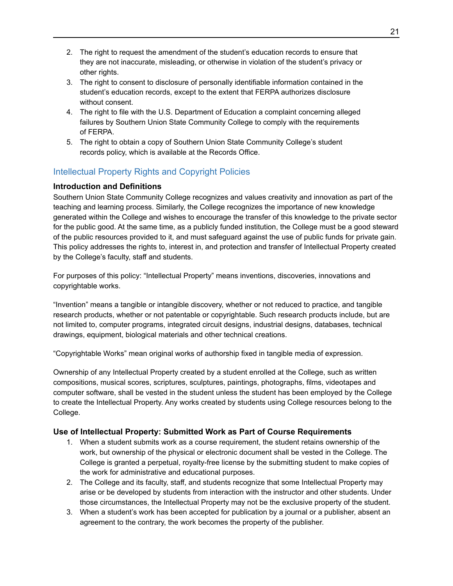- 2. The right to request the amendment of the student's education records to ensure that they are not inaccurate, misleading, or otherwise in violation of the student's privacy or other rights.
- 3. The right to consent to disclosure of personally identifiable information contained in the student's education records, except to the extent that FERPA authorizes disclosure without consent.
- 4. The right to file with the U.S. Department of Education a complaint concerning alleged failures by Southern Union State Community College to comply with the requirements of FERPA.
- 5. The right to obtain a copy of Southern Union State Community College's student records policy, which is available at the Records Office.

### <span id="page-21-0"></span>Intellectual Property Rights and Copyright Policies

### **Introduction and Definitions**

Southern Union State Community College recognizes and values creativity and innovation as part of the teaching and learning process. Similarly, the College recognizes the importance of new knowledge generated within the College and wishes to encourage the transfer of this knowledge to the private sector for the public good. At the same time, as a publicly funded institution, the College must be a good steward of the public resources provided to it, and must safeguard against the use of public funds for private gain. This policy addresses the rights to, interest in, and protection and transfer of Intellectual Property created by the College's faculty, staff and students.

For purposes of this policy: "Intellectual Property" means inventions, discoveries, innovations and copyrightable works.

"Invention" means a tangible or intangible discovery, whether or not reduced to practice, and tangible research products, whether or not patentable or copyrightable. Such research products include, but are not limited to, computer programs, integrated circuit designs, industrial designs, databases, technical drawings, equipment, biological materials and other technical creations.

"Copyrightable Works" mean original works of authorship fixed in tangible media of expression.

Ownership of any Intellectual Property created by a student enrolled at the College, such as written compositions, musical scores, scriptures, sculptures, paintings, photographs, films, videotapes and computer software, shall be vested in the student unless the student has been employed by the College to create the Intellectual Property. Any works created by students using College resources belong to the College.

### **Use of Intellectual Property: Submitted Work as Part of Course Requirements**

- 1. When a student submits work as a course requirement, the student retains ownership of the work, but ownership of the physical or electronic document shall be vested in the College. The College is granted a perpetual, royalty-free license by the submitting student to make copies of the work for administrative and educational purposes.
- 2. The College and its faculty, staff, and students recognize that some Intellectual Property may arise or be developed by students from interaction with the instructor and other students. Under those circumstances, the Intellectual Property may not be the exclusive property of the student.
- 3. When a student's work has been accepted for publication by a journal or a publisher, absent an agreement to the contrary, the work becomes the property of the publisher.